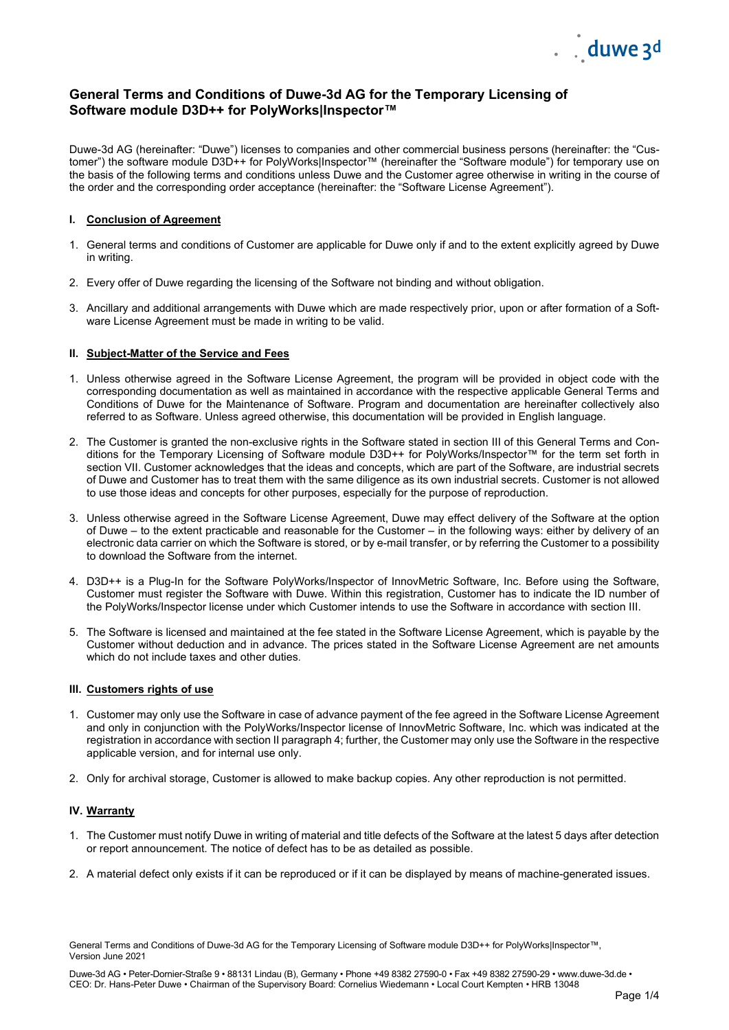

# **General Terms and Conditions of Duwe-3d AG for the Temporary Licensing of Software module D3D++ for PolyWorks|Inspector™**

Duwe-3d AG (hereinafter: "Duwe") licenses to companies and other commercial business persons (hereinafter: the "Customer") the software module D3D++ for PolyWorks|Inspector™ (hereinafter the "Software module") for temporary use on the basis of the following terms and conditions unless Duwe and the Customer agree otherwise in writing in the course of the order and the corresponding order acceptance (hereinafter: the "Software License Agreement").

### **I. Conclusion of Agreement**

- 1. General terms and conditions of Customer are applicable for Duwe only if and to the extent explicitly agreed by Duwe in writing.
- 2. Every offer of Duwe regarding the licensing of the Software not binding and without obligation.
- 3. Ancillary and additional arrangements with Duwe which are made respectively prior, upon or after formation of a Software License Agreement must be made in writing to be valid.

### **II. Subject-Matter of the Service and Fees**

- 1. Unless otherwise agreed in the Software License Agreement, the program will be provided in object code with the corresponding documentation as well as maintained in accordance with the respective applicable General Terms and Conditions of Duwe for the Maintenance of Software. Program and documentation are hereinafter collectively also referred to as Software. Unless agreed otherwise, this documentation will be provided in English language.
- 2. The Customer is granted the non-exclusive rights in the Software stated in section III of this General Terms and Conditions for the Temporary Licensing of Software module D3D++ for PolyWorks/Inspector™ for the term set forth in section VII. Customer acknowledges that the ideas and concepts, which are part of the Software, are industrial secrets of Duwe and Customer has to treat them with the same diligence as its own industrial secrets. Customer is not allowed to use those ideas and concepts for other purposes, especially for the purpose of reproduction.
- 3. Unless otherwise agreed in the Software License Agreement, Duwe may effect delivery of the Software at the option of Duwe – to the extent practicable and reasonable for the Customer – in the following ways: either by delivery of an electronic data carrier on which the Software is stored, or by e-mail transfer, or by referring the Customer to a possibility to download the Software from the internet.
- 4. D3D++ is a Plug-In for the Software PolyWorks/Inspector of InnovMetric Software, Inc. Before using the Software, Customer must register the Software with Duwe. Within this registration, Customer has to indicate the ID number of the PolyWorks/Inspector license under which Customer intends to use the Software in accordance with section III.
- 5. The Software is licensed and maintained at the fee stated in the Software License Agreement, which is payable by the Customer without deduction and in advance. The prices stated in the Software License Agreement are net amounts which do not include taxes and other duties.

## **III. Customers rights of use**

- 1. Customer may only use the Software in case of advance payment of the fee agreed in the Software License Agreement and only in conjunction with the PolyWorks/Inspector license of InnovMetric Software, Inc. which was indicated at the registration in accordance with section II paragraph 4; further, the Customer may only use the Software in the respective applicable version, and for internal use only.
- 2. Only for archival storage, Customer is allowed to make backup copies. Any other reproduction is not permitted.

## **IV. Warranty**

- 1. The Customer must notify Duwe in writing of material and title defects of the Software at the latest 5 days after detection or report announcement. The notice of defect has to be as detailed as possible.
- 2. A material defect only exists if it can be reproduced or if it can be displayed by means of machine-generated issues.

General Terms and Conditions of Duwe-3d AG for the Temporary Licensing of Software module D3D++ for PolyWorks|Inspector™, Version June 2021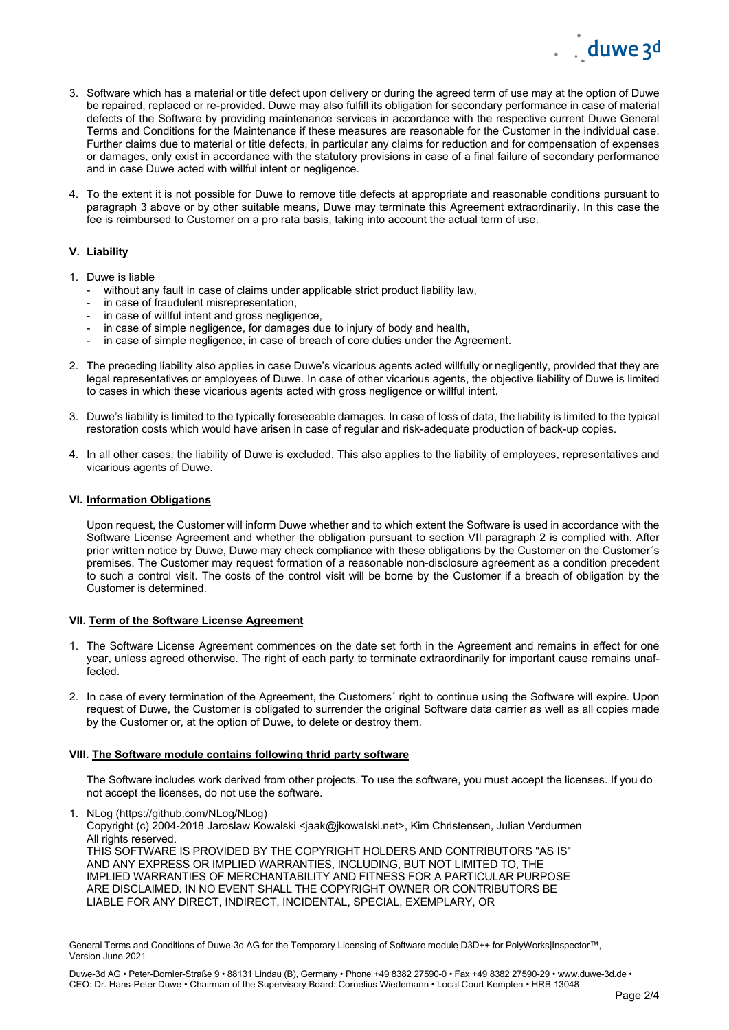

- 3. Software which has a material or title defect upon delivery or during the agreed term of use may at the option of Duwe be repaired, replaced or re-provided. Duwe may also fulfill its obligation for secondary performance in case of material defects of the Software by providing maintenance services in accordance with the respective current Duwe General Terms and Conditions for the Maintenance if these measures are reasonable for the Customer in the individual case. Further claims due to material or title defects, in particular any claims for reduction and for compensation of expenses or damages, only exist in accordance with the statutory provisions in case of a final failure of secondary performance and in case Duwe acted with willful intent or negligence.
- 4. To the extent it is not possible for Duwe to remove title defects at appropriate and reasonable conditions pursuant to paragraph 3 above or by other suitable means, Duwe may terminate this Agreement extraordinarily. In this case the fee is reimbursed to Customer on a pro rata basis, taking into account the actual term of use.

## **V. Liability**

- 1. Duwe is liable
	- without any fault in case of claims under applicable strict product liability law,
	- in case of fraudulent misrepresentation,
	- in case of willful intent and gross negligence,
	- in case of simple negligence, for damages due to injury of body and health,
	- in case of simple negligence, in case of breach of core duties under the Agreement.
- 2. The preceding liability also applies in case Duwe's vicarious agents acted willfully or negligently, provided that they are legal representatives or employees of Duwe. In case of other vicarious agents, the objective liability of Duwe is limited to cases in which these vicarious agents acted with gross negligence or willful intent.
- 3. Duwe's liability is limited to the typically foreseeable damages. In case of loss of data, the liability is limited to the typical restoration costs which would have arisen in case of regular and risk-adequate production of back-up copies.
- 4. In all other cases, the liability of Duwe is excluded. This also applies to the liability of employees, representatives and vicarious agents of Duwe.

#### **VI. Information Obligations**

Upon request, the Customer will inform Duwe whether and to which extent the Software is used in accordance with the Software License Agreement and whether the obligation pursuant to section VII paragraph 2 is complied with. After prior written notice by Duwe, Duwe may check compliance with these obligations by the Customer on the Customer´s premises. The Customer may request formation of a reasonable non-disclosure agreement as a condition precedent to such a control visit. The costs of the control visit will be borne by the Customer if a breach of obligation by the Customer is determined.

#### **VII. Term of the Software License Agreement**

- 1. The Software License Agreement commences on the date set forth in the Agreement and remains in effect for one year, unless agreed otherwise. The right of each party to terminate extraordinarily for important cause remains unaffected.
- 2. In case of every termination of the Agreement, the Customers´ right to continue using the Software will expire. Upon request of Duwe, the Customer is obligated to surrender the original Software data carrier as well as all copies made by the Customer or, at the option of Duwe, to delete or destroy them.

#### **VIII. The Software module contains following thrid party software**

The Software includes work derived from other projects. To use the software, you must accept the licenses. If you do not accept the licenses, do not use the software.

1. NLog (https://github.com/NLog/NLog) Copyright (c) 2004-2018 Jaroslaw Kowalski <jaak@jkowalski.net>, Kim Christensen, Julian Verdurmen All rights reserved. THIS SOFTWARE IS PROVIDED BY THE COPYRIGHT HOLDERS AND CONTRIBUTORS "AS IS" AND ANY EXPRESS OR IMPLIED WARRANTIES, INCLUDING, BUT NOT LIMITED TO, THE IMPLIED WARRANTIES OF MERCHANTABILITY AND FITNESS FOR A PARTICULAR PURPOSE ARE DISCLAIMED. IN NO EVENT SHALL THE COPYRIGHT OWNER OR CONTRIBUTORS BE LIABLE FOR ANY DIRECT, INDIRECT, INCIDENTAL, SPECIAL, EXEMPLARY, OR

General Terms and Conditions of Duwe-3d AG for the Temporary Licensing of Software module D3D++ for PolyWorks|Inspector™, Version June 2021

Duwe-3d AG • Peter-Dornier-Straße 9 • 88131 Lindau (B), Germany • Phone +49 8382 27590-0 • Fax +49 8382 27590-29 • www.duwe-3d.de • CEO: Dr. Hans-Peter Duwe • Chairman of the Supervisory Board: Cornelius Wiedemann • Local Court Kempten • HRB 13048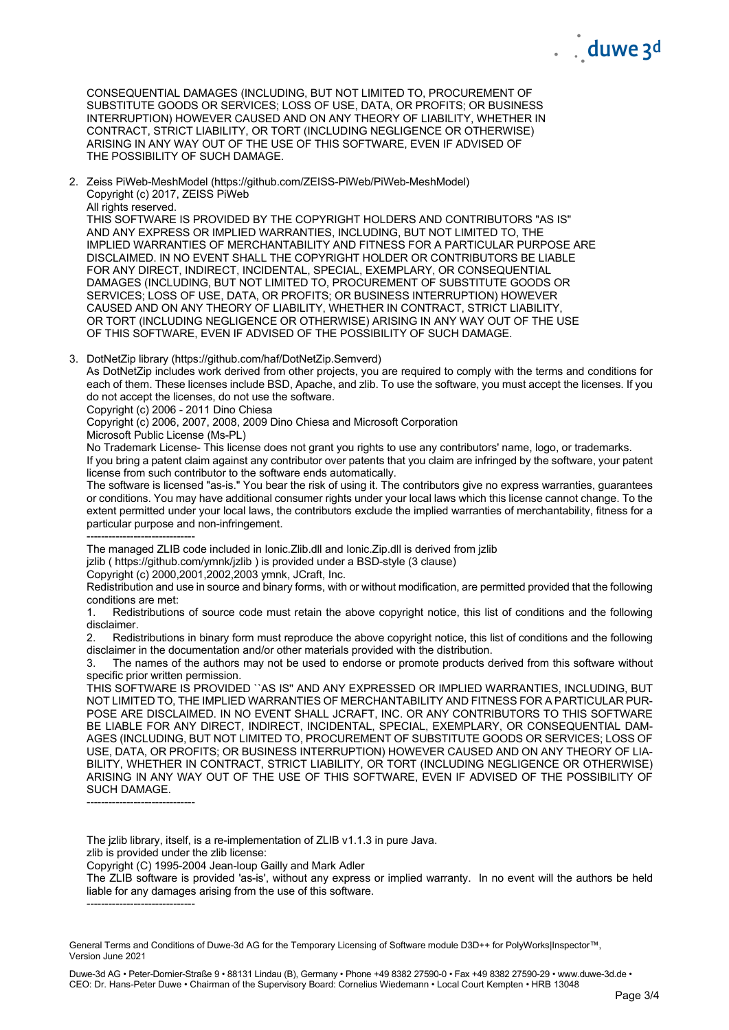CONSEQUENTIAL DAMAGES (INCLUDING, BUT NOT LIMITED TO, PROCUREMENT OF SUBSTITUTE GOODS OR SERVICES; LOSS OF USE, DATA, OR PROFITS; OR BUSINESS INTERRUPTION) HOWEVER CAUSED AND ON ANY THEORY OF LIABILITY, WHETHER IN CONTRACT, STRICT LIABILITY, OR TORT (INCLUDING NEGLIGENCE OR OTHERWISE) ARISING IN ANY WAY OUT OF THE USE OF THIS SOFTWARE, EVEN IF ADVISED OF THE POSSIBILITY OF SUCH DAMAGE.

2. Zeiss PiWeb-MeshModel (https://github.com/ZEISS-PiWeb/PiWeb-MeshModel) Copyright (c) 2017, ZEISS PiWeb

All rights reserved.

THIS SOFTWARE IS PROVIDED BY THE COPYRIGHT HOLDERS AND CONTRIBUTORS "AS IS" AND ANY EXPRESS OR IMPLIED WARRANTIES, INCLUDING, BUT NOT LIMITED TO, THE IMPLIED WARRANTIES OF MERCHANTABILITY AND FITNESS FOR A PARTICULAR PURPOSE ARE DISCLAIMED. IN NO EVENT SHALL THE COPYRIGHT HOLDER OR CONTRIBUTORS BE LIABLE FOR ANY DIRECT, INDIRECT, INCIDENTAL, SPECIAL, EXEMPLARY, OR CONSEQUENTIAL DAMAGES (INCLUDING, BUT NOT LIMITED TO, PROCUREMENT OF SUBSTITUTE GOODS OR SERVICES; LOSS OF USE, DATA, OR PROFITS; OR BUSINESS INTERRUPTION) HOWEVER CAUSED AND ON ANY THEORY OF LIABILITY, WHETHER IN CONTRACT, STRICT LIABILITY, OR TORT (INCLUDING NEGLIGENCE OR OTHERWISE) ARISING IN ANY WAY OUT OF THE USE OF THIS SOFTWARE, EVEN IF ADVISED OF THE POSSIBILITY OF SUCH DAMAGE.

3. DotNetZip library (https://github.com/haf/DotNetZip.Semverd)

As DotNetZip includes work derived from other projects, you are required to comply with the terms and conditions for each of them. These licenses include BSD, Apache, and zlib. To use the software, you must accept the licenses. If you do not accept the licenses, do not use the software.

Copyright (c) 2006 - 2011 Dino Chiesa

Copyright (c) 2006, 2007, 2008, 2009 Dino Chiesa and Microsoft Corporation

Microsoft Public License (Ms-PL)

No Trademark License- This license does not grant you rights to use any contributors' name, logo, or trademarks.

If you bring a patent claim against any contributor over patents that you claim are infringed by the software, your patent license from such contributor to the software ends automatically.

The software is licensed "as-is." You bear the risk of using it. The contributors give no express warranties, guarantees or conditions. You may have additional consumer rights under your local laws which this license cannot change. To the extent permitted under your local laws, the contributors exclude the implied warranties of merchantability, fitness for a particular purpose and non-infringement.

------------------------------

The managed ZLIB code included in Ionic.Zlib.dll and Ionic.Zip.dll is derived from jzlib

jzlib ( https://github.com/ymnk/jzlib ) is provided under a BSD-style (3 clause)

Copyright (c) 2000,2001,2002,2003 ymnk, JCraft, Inc.

Redistribution and use in source and binary forms, with or without modification, are permitted provided that the following conditions are met:<br>1 Redistributions

Redistributions of source code must retain the above copyright notice, this list of conditions and the following disclaimer.

2. Redistributions in binary form must reproduce the above copyright notice, this list of conditions and the following disclaimer in the documentation and/or other materials provided with the distribution.<br>3. The names of the authors may not be used to endorse or promote products d

The names of the authors may not be used to endorse or promote products derived from this software without specific prior written permission.

THIS SOFTWARE IS PROVIDED ``AS IS'' AND ANY EXPRESSED OR IMPLIED WARRANTIES, INCLUDING, BUT NOT LIMITED TO, THE IMPLIED WARRANTIES OF MERCHANTABILITY AND FITNESS FOR A PARTICULAR PUR-POSE ARE DISCLAIMED. IN NO EVENT SHALL JCRAFT, INC. OR ANY CONTRIBUTORS TO THIS SOFTWARE BE LIABLE FOR ANY DIRECT, INDIRECT, INCIDENTAL, SPECIAL, EXEMPLARY, OR CONSEQUENTIAL DAM-AGES (INCLUDING, BUT NOT LIMITED TO, PROCUREMENT OF SUBSTITUTE GOODS OR SERVICES; LOSS OF USE, DATA, OR PROFITS; OR BUSINESS INTERRUPTION) HOWEVER CAUSED AND ON ANY THEORY OF LIA-BILITY, WHETHER IN CONTRACT, STRICT LIABILITY, OR TORT (INCLUDING NEGLIGENCE OR OTHERWISE) ARISING IN ANY WAY OUT OF THE USE OF THIS SOFTWARE, EVEN IF ADVISED OF THE POSSIBILITY OF SUCH DAMAGE.

------------------------------

The izlib library, itself, is a re-implementation of ZLIB v1.1.3 in pure Java.

zlib is provided under the zlib license:

Copyright (C) 1995-2004 Jean-loup Gailly and Mark Adler

The ZLIB software is provided 'as-is', without any express or implied warranty. In no event will the authors be held liable for any damages arising from the use of this software.

------------------------------

General Terms and Conditions of Duwe-3d AG for the Temporary Licensing of Software module D3D++ for PolyWorks|Inspector™, Version June 2021